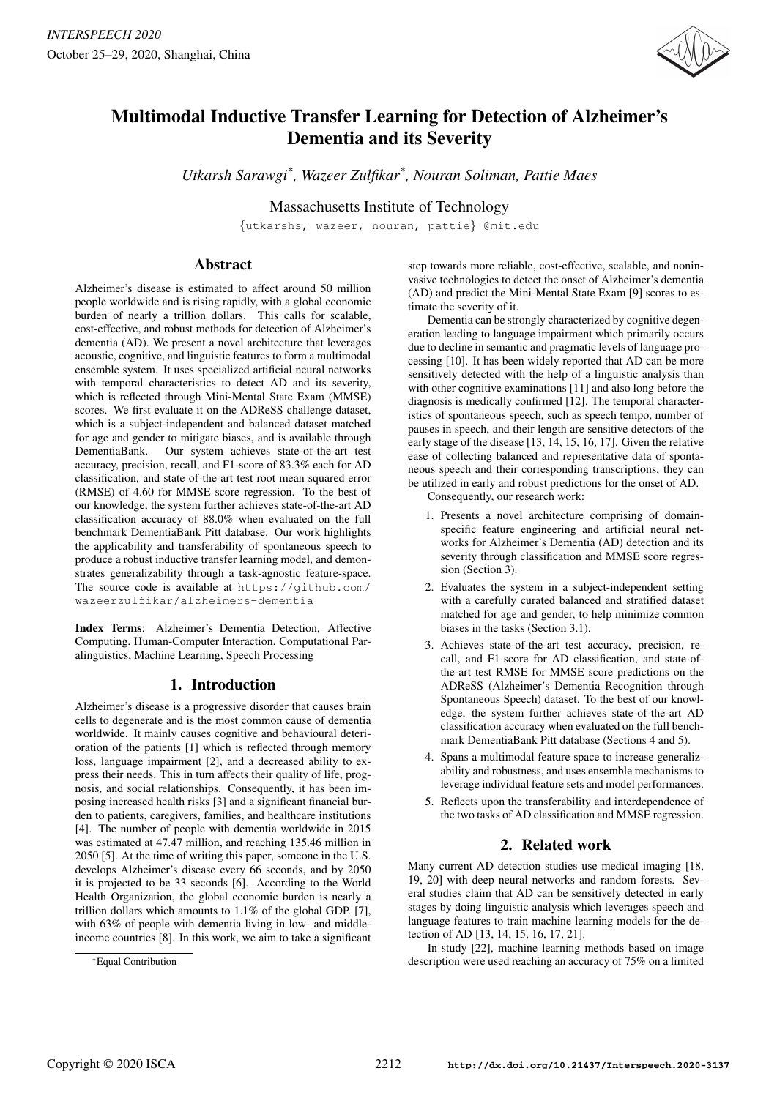

# Multimodal Inductive Transfer Learning for Detection of Alzheimer's Dementia and its Severity

*Utkarsh Sarawgi\* , Wazeer Zulfikar\* , Nouran Soliman, Pattie Maes*

Massachusetts Institute of Technology

{utkarshs, wazeer, nouran, pattie} @mit.edu

# Abstract

Alzheimer's disease is estimated to affect around 50 million people worldwide and is rising rapidly, with a global economic burden of nearly a trillion dollars. This calls for scalable, cost-effective, and robust methods for detection of Alzheimer's dementia (AD). We present a novel architecture that leverages acoustic, cognitive, and linguistic features to form a multimodal ensemble system. It uses specialized artificial neural networks with temporal characteristics to detect AD and its severity, which is reflected through Mini-Mental State Exam (MMSE) scores. We first evaluate it on the ADReSS challenge dataset, which is a subject-independent and balanced dataset matched for age and gender to mitigate biases, and is available through DementiaBank. Our system achieves state-of-the-art test accuracy, precision, recall, and F1-score of 83.3% each for AD classification, and state-of-the-art test root mean squared error (RMSE) of 4.60 for MMSE score regression. To the best of our knowledge, the system further achieves state-of-the-art AD classification accuracy of 88.0% when evaluated on the full benchmark DementiaBank Pitt database. Our work highlights the applicability and transferability of spontaneous speech to produce a robust inductive transfer learning model, and demonstrates generalizability through a task-agnostic feature-space. The source code is available at https://github.com/ wazeerzulfikar/alzheimers-dementia

Index Terms: Alzheimer's Dementia Detection, Affective Computing, Human-Computer Interaction, Computational Paralinguistics, Machine Learning, Speech Processing

# 1. Introduction

Alzheimer's disease is a progressive disorder that causes brain cells to degenerate and is the most common cause of dementia worldwide. It mainly causes cognitive and behavioural deterioration of the patients [1] which is reflected through memory loss, language impairment [2], and a decreased ability to express their needs. This in turn affects their quality of life, prognosis, and social relationships. Consequently, it has been imposing increased health risks [3] and a significant financial burden to patients, caregivers, families, and healthcare institutions [4]. The number of people with dementia worldwide in 2015 was estimated at 47.47 million, and reaching 135.46 million in 2050 [5]. At the time of writing this paper, someone in the U.S. develops Alzheimer's disease every 66 seconds, and by 2050 it is projected to be 33 seconds [6]. According to the World Health Organization, the global economic burden is nearly a trillion dollars which amounts to 1.1% of the global GDP. [7], with 63% of people with dementia living in low- and middleincome countries [8]. In this work, we aim to take a significant step towards more reliable, cost-effective, scalable, and noninvasive technologies to detect the onset of Alzheimer's dementia (AD) and predict the Mini-Mental State Exam [9] scores to estimate the severity of it.

Dementia can be strongly characterized by cognitive degeneration leading to language impairment which primarily occurs due to decline in semantic and pragmatic levels of language processing [10]. It has been widely reported that AD can be more sensitively detected with the help of a linguistic analysis than with other cognitive examinations [11] and also long before the diagnosis is medically confirmed [12]. The temporal characteristics of spontaneous speech, such as speech tempo, number of pauses in speech, and their length are sensitive detectors of the early stage of the disease [13, 14, 15, 16, 17]. Given the relative ease of collecting balanced and representative data of spontaneous speech and their corresponding transcriptions, they can be utilized in early and robust predictions for the onset of AD.

Consequently, our research work:

- 1. Presents a novel architecture comprising of domainspecific feature engineering and artificial neural networks for Alzheimer's Dementia (AD) detection and its severity through classification and MMSE score regression (Section 3).
- 2. Evaluates the system in a subject-independent setting with a carefully curated balanced and stratified dataset matched for age and gender, to help minimize common biases in the tasks (Section 3.1).
- 3. Achieves state-of-the-art test accuracy, precision, recall, and F1-score for AD classification, and state-ofthe-art test RMSE for MMSE score predictions on the ADReSS (Alzheimer's Dementia Recognition through Spontaneous Speech) dataset. To the best of our knowledge, the system further achieves state-of-the-art AD classification accuracy when evaluated on the full benchmark DementiaBank Pitt database (Sections 4 and 5).
- 4. Spans a multimodal feature space to increase generalizability and robustness, and uses ensemble mechanisms to leverage individual feature sets and model performances.
- 5. Reflects upon the transferability and interdependence of the two tasks of AD classification and MMSE regression.

# 2. Related work

Many current AD detection studies use medical imaging [18, 19, 20] with deep neural networks and random forests. Several studies claim that AD can be sensitively detected in early stages by doing linguistic analysis which leverages speech and language features to train machine learning models for the detection of AD [13, 14, 15, 16, 17, 21].

In study [22], machine learning methods based on image description were used reaching an accuracy of 75% on a limited

<sup>\*</sup>Equal Contribution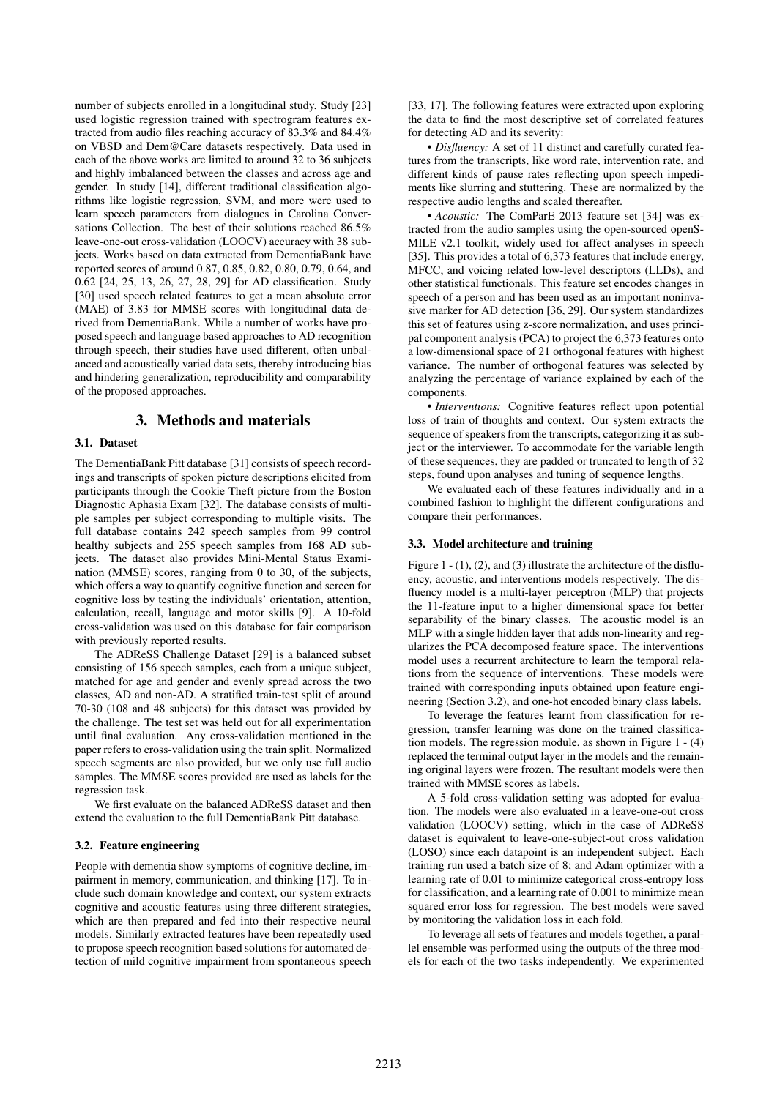number of subjects enrolled in a longitudinal study. Study [23] used logistic regression trained with spectrogram features extracted from audio files reaching accuracy of 83.3% and 84.4% on VBSD and Dem@Care datasets respectively. Data used in each of the above works are limited to around 32 to 36 subjects and highly imbalanced between the classes and across age and gender. In study [14], different traditional classification algorithms like logistic regression, SVM, and more were used to learn speech parameters from dialogues in Carolina Conversations Collection. The best of their solutions reached 86.5% leave-one-out cross-validation (LOOCV) accuracy with 38 subjects. Works based on data extracted from DementiaBank have reported scores of around 0.87, 0.85, 0.82, 0.80, 0.79, 0.64, and 0.62 [24, 25, 13, 26, 27, 28, 29] for AD classification. Study [30] used speech related features to get a mean absolute error (MAE) of 3.83 for MMSE scores with longitudinal data derived from DementiaBank. While a number of works have proposed speech and language based approaches to AD recognition through speech, their studies have used different, often unbalanced and acoustically varied data sets, thereby introducing bias and hindering generalization, reproducibility and comparability of the proposed approaches.

# 3. Methods and materials

### 3.1. Dataset

The DementiaBank Pitt database [31] consists of speech recordings and transcripts of spoken picture descriptions elicited from participants through the Cookie Theft picture from the Boston Diagnostic Aphasia Exam [32]. The database consists of multiple samples per subject corresponding to multiple visits. The full database contains 242 speech samples from 99 control healthy subjects and 255 speech samples from 168 AD subjects. The dataset also provides Mini-Mental Status Examination (MMSE) scores, ranging from 0 to 30, of the subjects, which offers a way to quantify cognitive function and screen for cognitive loss by testing the individuals' orientation, attention, calculation, recall, language and motor skills [9]. A 10-fold cross-validation was used on this database for fair comparison with previously reported results.

The ADReSS Challenge Dataset [29] is a balanced subset consisting of 156 speech samples, each from a unique subject, matched for age and gender and evenly spread across the two classes, AD and non-AD. A stratified train-test split of around 70-30 (108 and 48 subjects) for this dataset was provided by the challenge. The test set was held out for all experimentation until final evaluation. Any cross-validation mentioned in the paper refers to cross-validation using the train split. Normalized speech segments are also provided, but we only use full audio samples. The MMSE scores provided are used as labels for the regression task.

We first evaluate on the balanced ADReSS dataset and then extend the evaluation to the full DementiaBank Pitt database.

#### 3.2. Feature engineering

People with dementia show symptoms of cognitive decline, impairment in memory, communication, and thinking [17]. To include such domain knowledge and context, our system extracts cognitive and acoustic features using three different strategies, which are then prepared and fed into their respective neural models. Similarly extracted features have been repeatedly used to propose speech recognition based solutions for automated detection of mild cognitive impairment from spontaneous speech [33, 17]. The following features were extracted upon exploring the data to find the most descriptive set of correlated features for detecting AD and its severity:

• *Disfluency:* A set of 11 distinct and carefully curated features from the transcripts, like word rate, intervention rate, and different kinds of pause rates reflecting upon speech impediments like slurring and stuttering. These are normalized by the respective audio lengths and scaled thereafter.

• *Acoustic:* The ComParE 2013 feature set [34] was extracted from the audio samples using the open-sourced openS-MILE v2.1 toolkit, widely used for affect analyses in speech [35]. This provides a total of 6,373 features that include energy, MFCC, and voicing related low-level descriptors (LLDs), and other statistical functionals. This feature set encodes changes in speech of a person and has been used as an important noninvasive marker for AD detection [36, 29]. Our system standardizes this set of features using z-score normalization, and uses principal component analysis (PCA) to project the 6,373 features onto a low-dimensional space of 21 orthogonal features with highest variance. The number of orthogonal features was selected by analyzing the percentage of variance explained by each of the components.

• *Interventions:* Cognitive features reflect upon potential loss of train of thoughts and context. Our system extracts the sequence of speakers from the transcripts, categorizing it as subject or the interviewer. To accommodate for the variable length of these sequences, they are padded or truncated to length of 32 steps, found upon analyses and tuning of sequence lengths.

We evaluated each of these features individually and in a combined fashion to highlight the different configurations and compare their performances.

#### 3.3. Model architecture and training

Figure 1 - (1), (2), and (3) illustrate the architecture of the disfluency, acoustic, and interventions models respectively. The disfluency model is a multi-layer perceptron (MLP) that projects the 11-feature input to a higher dimensional space for better separability of the binary classes. The acoustic model is an MLP with a single hidden layer that adds non-linearity and regularizes the PCA decomposed feature space. The interventions model uses a recurrent architecture to learn the temporal relations from the sequence of interventions. These models were trained with corresponding inputs obtained upon feature engineering (Section 3.2), and one-hot encoded binary class labels.

To leverage the features learnt from classification for regression, transfer learning was done on the trained classification models. The regression module, as shown in Figure 1 - (4) replaced the terminal output layer in the models and the remaining original layers were frozen. The resultant models were then trained with MMSE scores as labels.

A 5-fold cross-validation setting was adopted for evaluation. The models were also evaluated in a leave-one-out cross validation (LOOCV) setting, which in the case of ADReSS dataset is equivalent to leave-one-subject-out cross validation (LOSO) since each datapoint is an independent subject. Each training run used a batch size of 8; and Adam optimizer with a learning rate of 0.01 to minimize categorical cross-entropy loss for classification, and a learning rate of 0.001 to minimize mean squared error loss for regression. The best models were saved by monitoring the validation loss in each fold.

To leverage all sets of features and models together, a parallel ensemble was performed using the outputs of the three models for each of the two tasks independently. We experimented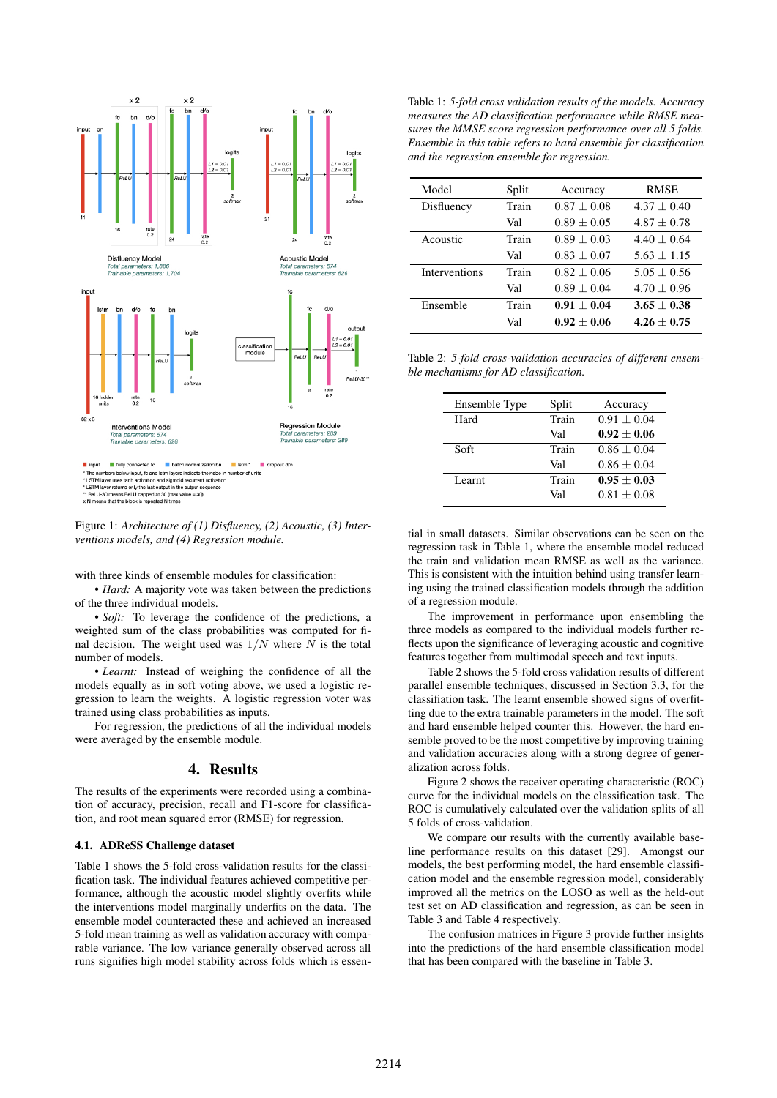

Figure 1: *Architecture of (1) Disfluency, (2) Acoustic, (3) Interventions models, and (4) Regression module.*

with three kinds of ensemble modules for classification:

• *Hard:* A majority vote was taken between the predictions of the three individual models.

• *Soft:* To leverage the confidence of the predictions, a weighted sum of the class probabilities was computed for final decision. The weight used was  $1/N$  where N is the total number of models.

• *Learnt:* Instead of weighing the confidence of all the models equally as in soft voting above, we used a logistic regression to learn the weights. A logistic regression voter was trained using class probabilities as inputs.

For regression, the predictions of all the individual models were averaged by the ensemble module.

# 4. Results

The results of the experiments were recorded using a combination of accuracy, precision, recall and F1-score for classification, and root mean squared error (RMSE) for regression.

### 4.1. ADReSS Challenge dataset

Table 1 shows the 5-fold cross-validation results for the classification task. The individual features achieved competitive performance, although the acoustic model slightly overfits while the interventions model marginally underfits on the data. The ensemble model counteracted these and achieved an increased 5-fold mean training as well as validation accuracy with comparable variance. The low variance generally observed across all runs signifies high model stability across folds which is essen-

Table 1: *5-fold cross validation results of the models. Accuracy measures the AD classification performance while RMSE measures the MMSE score regression performance over all 5 folds. Ensemble in this table refers to hard ensemble for classification and the regression ensemble for regression.*

| Model                | Split | Accuracy      | <b>RMSE</b>   |
|----------------------|-------|---------------|---------------|
| Disfluency           | Train | $0.87 + 0.08$ | $4.37 + 0.40$ |
|                      | Val   | $0.89 + 0.05$ | $4.87 + 0.78$ |
| Acoustic             | Train | $0.89 + 0.03$ | $4.40 + 0.64$ |
|                      | Val   | $0.83 + 0.07$ | $5.63 + 1.15$ |
| <b>Interventions</b> | Train | $0.82 + 0.06$ | $5.05 + 0.56$ |
|                      | Val   | $0.89 + 0.04$ | $4.70 + 0.96$ |
| Ensemble             | Train | $0.91 + 0.04$ | $3.65 + 0.38$ |
|                      | Val   | $0.92 + 0.06$ | $4.26 + 0.75$ |

Table 2: *5-fold cross-validation accuracies of different ensemble mechanisms for AD classification.*

| Ensemble Type | Split | Accuracy        |
|---------------|-------|-----------------|
| Hard          | Train | $0.91 + 0.04$   |
|               | Val   | $0.92 + 0.06$   |
| Soft          | Train | $0.86 \pm 0.04$ |
|               | Val   | $0.86 + 0.04$   |
| Learnt        | Train | $0.95 + 0.03$   |
|               | Val   | $0.81 + 0.08$   |

tial in small datasets. Similar observations can be seen on the regression task in Table 1, where the ensemble model reduced the train and validation mean RMSE as well as the variance. This is consistent with the intuition behind using transfer learning using the trained classification models through the addition of a regression module.

The improvement in performance upon ensembling the three models as compared to the individual models further reflects upon the significance of leveraging acoustic and cognitive features together from multimodal speech and text inputs.

Table 2 shows the 5-fold cross validation results of different parallel ensemble techniques, discussed in Section 3.3, for the classifiation task. The learnt ensemble showed signs of overfitting due to the extra trainable parameters in the model. The soft and hard ensemble helped counter this. However, the hard ensemble proved to be the most competitive by improving training and validation accuracies along with a strong degree of generalization across folds.

Figure 2 shows the receiver operating characteristic (ROC) curve for the individual models on the classification task. The ROC is cumulatively calculated over the validation splits of all 5 folds of cross-validation.

We compare our results with the currently available baseline performance results on this dataset [29]. Amongst our models, the best performing model, the hard ensemble classification model and the ensemble regression model, considerably improved all the metrics on the LOSO as well as the held-out test set on AD classification and regression, as can be seen in Table 3 and Table 4 respectively.

The confusion matrices in Figure 3 provide further insights into the predictions of the hard ensemble classification model that has been compared with the baseline in Table 3.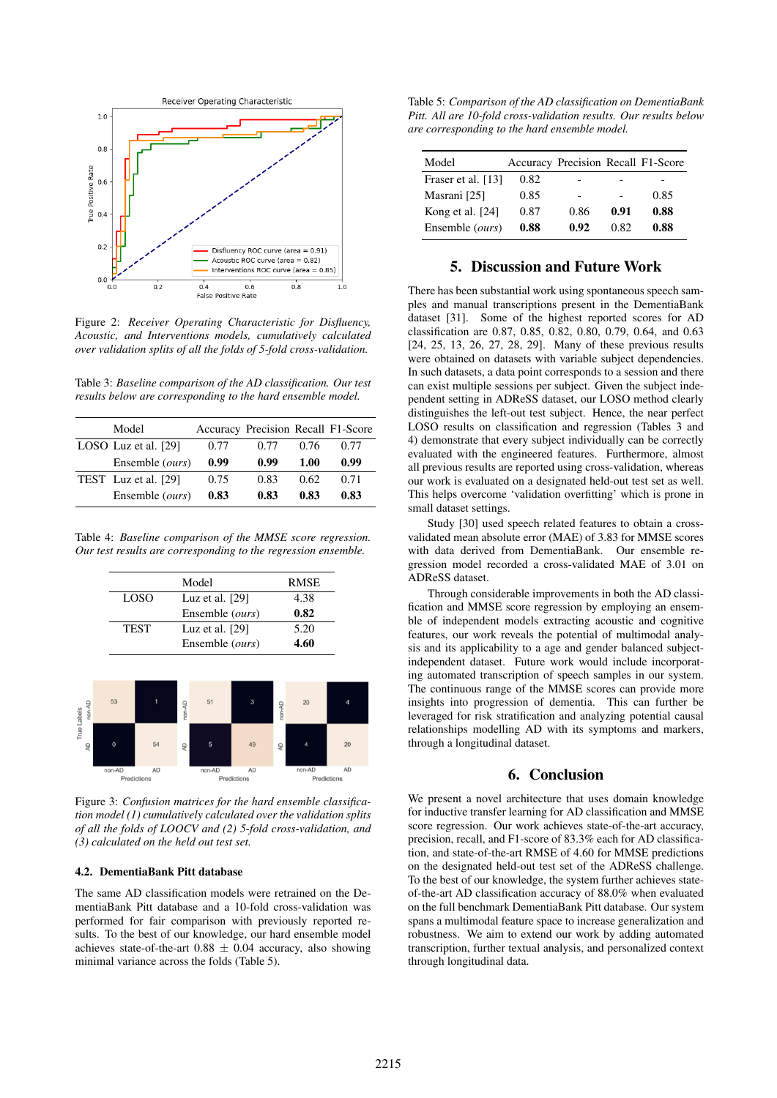

Figure 2: *Receiver Operating Characteristic for Disfluency, Acoustic, and Interventions models, cumulatively calculated over validation splits of all the folds of 5-fold cross-validation.*

Table 3: *Baseline comparison of the AD classification. Our test results below are corresponding to the hard ensemble model.*

| Model                    |      | Accuracy Precision Recall F1-Score |      |      |
|--------------------------|------|------------------------------------|------|------|
| LOSO Luz et al. [29]     | 0.77 | 0.77                               | 0.76 | 0.77 |
| Ensemble ( <i>ours</i> ) | 0.99 | 0.99                               | 1.00 | 0.99 |
| TEST Luz et al. [29]     | 0.75 | 0.83                               | 0.62 | 0.71 |
| Ensemble (ours)          | 0.83 | 0.83                               | 0.83 | 0.83 |

Table 4: *Baseline comparison of the MMSE score regression. Our test results are corresponding to the regression ensemble.*

|      | Model             | <b>RMSE</b> |
|------|-------------------|-------------|
| LOSO | Luz et al. $[29]$ | 4.38        |
|      | Ensemble (ours)   | 0.82        |
| TEST | Luz et al. $[29]$ | 5.20        |
|      | Ensemble (ours)   | 4.60        |



Figure 3: *Confusion matrices for the hard ensemble classification model (1) cumulatively calculated over the validation splits of all the folds of LOOCV and (2) 5-fold cross-validation, and (3) calculated on the held out test set.*

### 4.2. DementiaBank Pitt database

The same AD classification models were retrained on the DementiaBank Pitt database and a 10-fold cross-validation was performed for fair comparison with previously reported results. To the best of our knowledge, our hard ensemble model achieves state-of-the-art  $0.88 \pm 0.04$  accuracy, also showing minimal variance across the folds (Table 5).

Table 5: *Comparison of the AD classification on DementiaBank Pitt. All are 10-fold cross-validation results. Our results below are corresponding to the hard ensemble model.*

| Model              |      | Accuracy Precision Recall F1-Score |      |      |
|--------------------|------|------------------------------------|------|------|
| Fraser et al. [13] | 0.82 |                                    |      |      |
| Masrani [25]       | 0.85 |                                    |      | 0.85 |
| Kong et al. [24]   | 0.87 | 0.86                               | 0.91 | 0.88 |
| Ensemble (ours)    | 0.88 | 0.92                               | 0.82 | 0.88 |

## 5. Discussion and Future Work

There has been substantial work using spontaneous speech samples and manual transcriptions present in the DementiaBank dataset [31]. Some of the highest reported scores for AD classification are 0.87, 0.85, 0.82, 0.80, 0.79, 0.64, and 0.63 [24, 25, 13, 26, 27, 28, 29]. Many of these previous results were obtained on datasets with variable subject dependencies. In such datasets, a data point corresponds to a session and there can exist multiple sessions per subject. Given the subject independent setting in ADReSS dataset, our LOSO method clearly distinguishes the left-out test subject. Hence, the near perfect LOSO results on classification and regression (Tables 3 and 4) demonstrate that every subject individually can be correctly evaluated with the engineered features. Furthermore, almost all previous results are reported using cross-validation, whereas our work is evaluated on a designated held-out test set as well. This helps overcome 'validation overfitting' which is prone in small dataset settings.

Study [30] used speech related features to obtain a crossvalidated mean absolute error (MAE) of 3.83 for MMSE scores with data derived from DementiaBank. Our ensemble regression model recorded a cross-validated MAE of 3.01 on ADReSS dataset.

Through considerable improvements in both the AD classification and MMSE score regression by employing an ensemble of independent models extracting acoustic and cognitive features, our work reveals the potential of multimodal analysis and its applicability to a age and gender balanced subjectindependent dataset. Future work would include incorporating automated transcription of speech samples in our system. The continuous range of the MMSE scores can provide more insights into progression of dementia. This can further be leveraged for risk stratification and analyzing potential causal relationships modelling AD with its symptoms and markers, through a longitudinal dataset.

# 6. Conclusion

We present a novel architecture that uses domain knowledge for inductive transfer learning for AD classification and MMSE score regression. Our work achieves state-of-the-art accuracy, precision, recall, and F1-score of 83.3% each for AD classification, and state-of-the-art RMSE of 4.60 for MMSE predictions on the designated held-out test set of the ADReSS challenge. To the best of our knowledge, the system further achieves stateof-the-art AD classification accuracy of 88.0% when evaluated on the full benchmark DementiaBank Pitt database. Our system spans a multimodal feature space to increase generalization and robustness. We aim to extend our work by adding automated transcription, further textual analysis, and personalized context through longitudinal data.